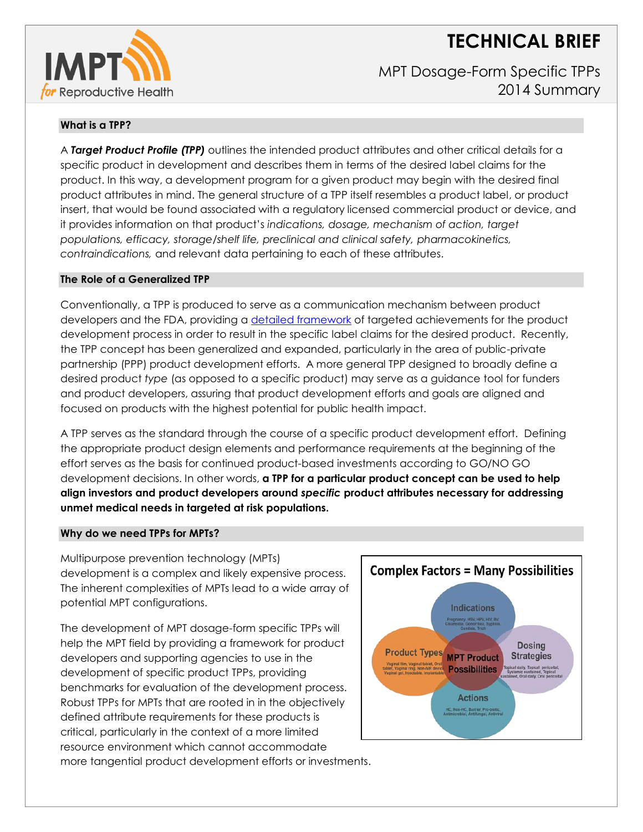# **TECHNICAL BRIEF**



MPT Dosage-Form Specific TPPs 2014 Summary

## **What is a TPP?**

A *Target Product Profile (TPP)* outlines the intended product attributes and other critical details for a specific product in development and describes them in terms of the desired label claims for the product. In this way, a development program for a given product may begin with the desired final product attributes in mind. The general structure of a TPP itself resembles a product label, or product insert, that would be found associated with a regulatory licensed commercial product or device, and it provides information on that product's *indications, dosage, mechanism of action, target populations, efficacy, storage/shelf life, preclinical and clinical safety, pharmacokinetics, contraindications,* and relevant data pertaining to each of these attributes.

### **The Role of a Generalized TPP**

Conventionally, a TPP is produced to serve as a communication mechanism between product developers and the FDA, providing a [detailed framework](http://www.fda.gov/downloads/drugs/guidancecomplianceregulatoryinformation/guidances/ucm080593.pdf) of targeted achievements for the product development process in order to result in the specific label claims for the desired product. Recently, the TPP concept has been generalized and expanded, particularly in the area of public-private partnership (PPP) product development efforts. A more general TPP designed to broadly define a desired product *type* (as opposed to a specific product) may serve as a guidance tool for funders and product developers, assuring that product development efforts and goals are aligned and focused on products with the highest potential for public health impact.

A TPP serves as the standard through the course of a specific product development effort. Defining the appropriate product design elements and performance requirements at the beginning of the effort serves as the basis for continued product-based investments according to GO/NO GO development decisions. In other words, **a TPP for a particular product concept can be used to help align investors and product developers around** *specific* **product attributes necessary for addressing unmet medical needs in targeted at risk populations.**

#### **Why do we need TPPs for MPTs?**

Multipurpose prevention technology (MPTs) development is a complex and likely expensive process. The inherent complexities of MPTs lead to a wide array of potential MPT configurations.

The development of MPT dosage-form specific TPPs will help the MPT field by providing a framework for product developers and supporting agencies to use in the development of specific product TPPs, providing benchmarks for evaluation of the development process. Robust TPPs for MPTs that are rooted in in the objectively defined attribute requirements for these products is critical, particularly in the context of a more limited resource environment which cannot accommodate more tangential product development efforts or investments.